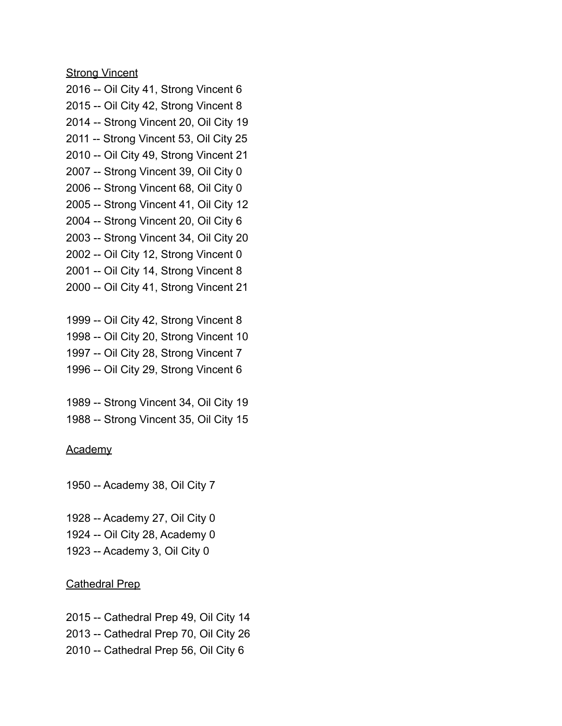**Strong Vincent** 

- 2016 -- Oil City 41, Strong Vincent 6 2015 -- Oil City 42, Strong Vincent 8 2014 -- Strong Vincent 20, Oil City 19 2011 -- Strong Vincent 53, Oil City 25 2010 -- Oil City 49, Strong Vincent 21 2007 -- Strong Vincent 39, Oil City 0
- 2006 -- Strong Vincent 68, Oil City 0
- 2005 -- Strong Vincent 41, Oil City 12
- 2004 -- Strong Vincent 20, Oil City 6
- 2003 -- Strong Vincent 34, Oil City 20
- 2002 -- Oil City 12, Strong Vincent 0
- 2001 -- Oil City 14, Strong Vincent 8
- 2000 -- Oil City 41, Strong Vincent 21
- 1999 -- Oil City 42, Strong Vincent 8 1998 -- Oil City 20, Strong Vincent 10 1997 -- Oil City 28, Strong Vincent 7
- 1996 -- Oil City 29, Strong Vincent 6

1989 -- Strong Vincent 34, Oil City 19 1988 -- Strong Vincent 35, Oil City 15

#### Academy

1950 -- Academy 38, Oil City 7

1928 -- Academy 27, Oil City 0 1924 -- Oil City 28, Academy 0 1923 -- Academy 3, Oil City 0

## Cathedral Prep

2015 -- Cathedral Prep 49, Oil City 14 2013 -- Cathedral Prep 70, Oil City 26 2010 -- Cathedral Prep 56, Oil City 6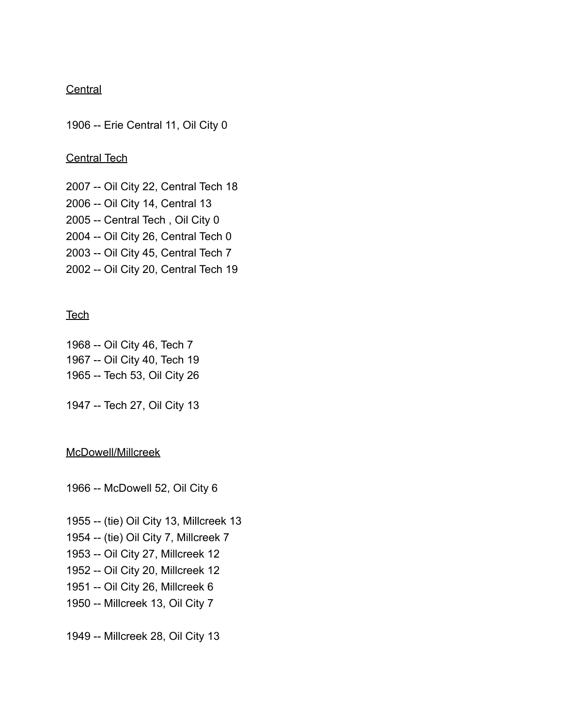## **Central**

1906 -- Erie Central 11, Oil City 0

### Central Tech

2007 -- Oil City 22, Central Tech 18 2006 -- Oil City 14, Central 13 2005 -- Central Tech , Oil City 0 2004 -- Oil City 26, Central Tech 0 2003 -- Oil City 45, Central Tech 7 2002 -- Oil City 20, Central Tech 19

### **Tech**

1968 -- Oil City 46, Tech 7 1967 -- Oil City 40, Tech 19 1965 -- Tech 53, Oil City 26

1947 -- Tech 27, Oil City 13

# McDowell/Millcreek

1966 -- McDowell 52, Oil City 6

- 1955 -- (tie) Oil City 13, Millcreek 13
- 1954 -- (tie) Oil City 7, Millcreek 7
- 1953 -- Oil City 27, Millcreek 12
- 1952 -- Oil City 20, Millcreek 12
- 1951 -- Oil City 26, Millcreek 6
- 1950 -- Millcreek 13, Oil City 7

1949 -- Millcreek 28, Oil City 13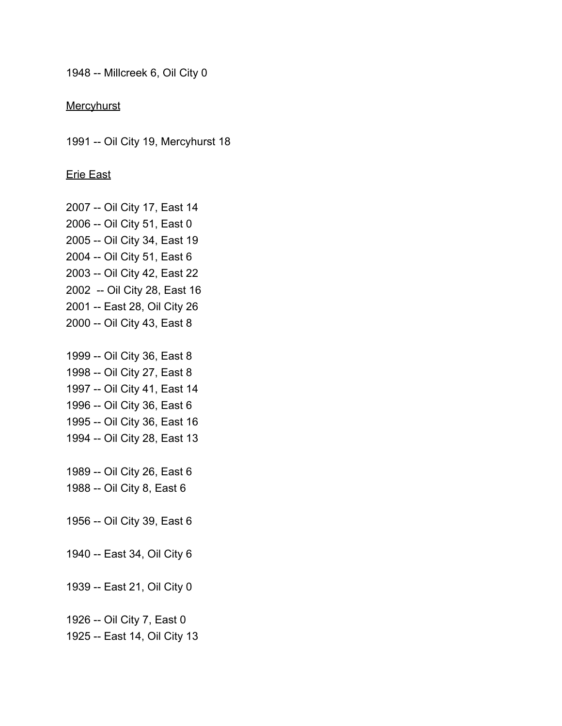1948 -- Millcreek 6, Oil City 0

**Mercyhurst** 

1991 -- Oil City 19, Mercyhurst 18

Erie East

2007 -- Oil City 17, East 14 2006 -- Oil City 51, East 0 2005 -- Oil City 34, East 19 2004 -- Oil City 51, East 6 2003 -- Oil City 42, East 22 2002 -- Oil City 28, East 16 2001 -- East 28, Oil City 26 2000 -- Oil City 43, East 8

1999 -- Oil City 36, East 8 1998 -- Oil City 27, East 8 1997 -- Oil City 41, East 14 1996 -- Oil City 36, East 6 1995 -- Oil City 36, East 16 1994 -- Oil City 28, East 13

1989 -- Oil City 26, East 6 1988 -- Oil City 8, East 6

1956 -- Oil City 39, East 6

1940 -- East 34, Oil City 6

1939 -- East 21, Oil City 0

1926 -- Oil City 7, East 0

1925 -- East 14, Oil City 13